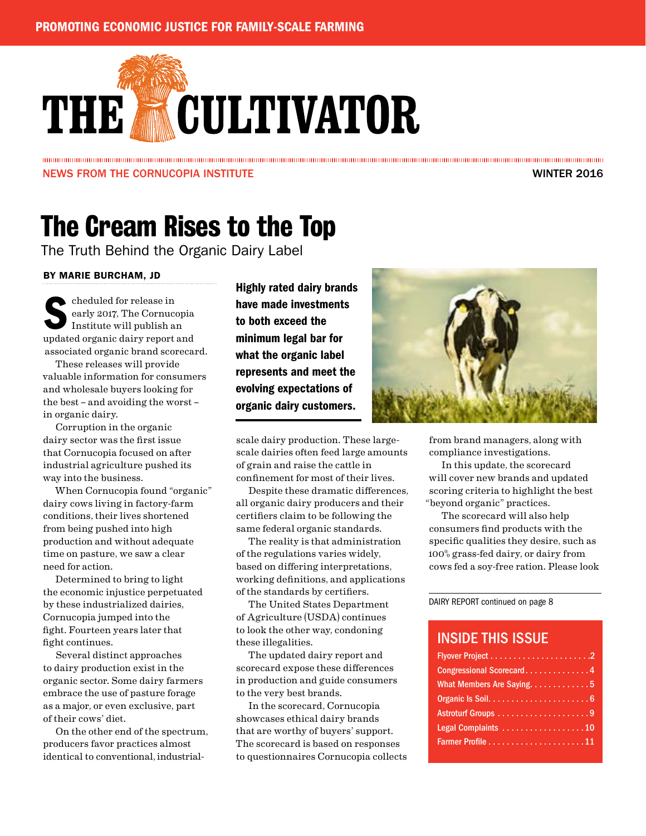# THE **MOULTIVATOR**

### NEWS FROM THE CORNUCOPIA INSTITUTE WINTER 2016

### The Cream Rises to the Top

The Truth Behind the Organic Dairy Label

### BY MARIE BURCHAM, JD

cheduled for release in<br>early 2017, The Cornuco<br>Institute will publish a early 2017, The Cornucopia Institute will publish an updated organic dairy report and associated organic brand scorecard.

These releases will provide valuable information for consumers and wholesale buyers looking for the best – and avoiding the worst – in organic dairy.

Corruption in the organic dairy sector was the first issue that Cornucopia focused on after industrial agriculture pushed its way into the business.

When Cornucopia found "organic" dairy cows living in factory-farm conditions, their lives shortened from being pushed into high production and without adequate time on pasture, we saw a clear need for action.

Determined to bring to light the economic injustice perpetuated by these industrialized dairies, Cornucopia jumped into the fight. Fourteen years later that fight continues.

Several distinct approaches to dairy production exist in the organic sector. Some dairy farmers embrace the use of pasture forage as a major, or even exclusive, part of their cows' diet.

On the other end of the spectrum, producers favor practices almost identical to conventional, industrial-

Highly rated dairy brands have made investments to both exceed the minimum legal bar for what the organic label represents and meet the evolving expectations of organic dairy customers.

scale dairy production. These largescale dairies often feed large amounts of grain and raise the cattle in confinement for most of their lives.

Despite these dramatic differences, all organic dairy producers and their certifiers claim to be following the same federal organic standards.

The reality is that administration of the regulations varies widely, based on differing interpretations, working definitions, and applications of the standards by certifiers.

The United States Department of Agriculture (USDA) continues to look the other way, condoning these illegalities.

The updated dairy report and scorecard expose these differences in production and guide consumers to the very best brands.

In the scorecard, Cornucopia showcases ethical dairy brands that are worthy of buyers' support. The scorecard is based on responses to questionnaires Cornucopia collects



from brand managers, along with compliance investigations.

In this update, the scorecard will cover new brands and updated scoring criteria to highlight the best "beyond organic" practices.

The scorecard will also help consumers find products with the specific qualities they desire, such as 100% grass-fed dairy, or dairy from cows fed a soy-free ration. Please look

DAIRY REPORT continued on page 8

### INSIDE THIS ISSUE

| Congressional Scorecard4   |
|----------------------------|
| What Members Are Saying. 5 |
|                            |
|                            |
| Legal Complaints 10        |
|                            |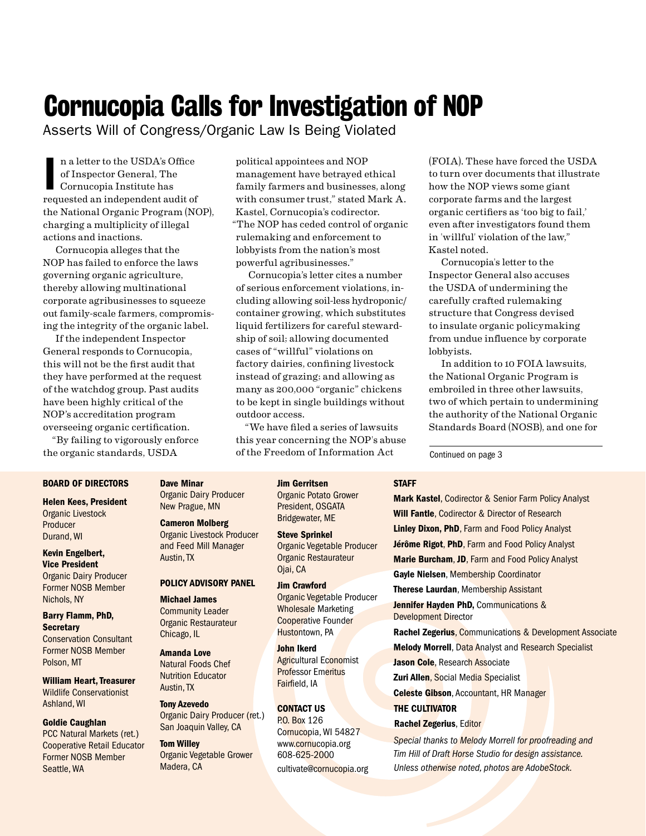### Cornucopia Calls for Investigation of NOP

Asserts Will of Congress/Organic Law Is Being Violated

n a letter to the USDA's Office<br>of Inspector General, The<br>Cornucopia Institute has<br>requested an independent audit of n a letter to the USDA's Office of Inspector General, The Cornucopia Institute has the National Organic Program (NOP), charging a multiplicity of illegal actions and inactions.

Cornucopia alleges that the NOP has failed to enforce the laws governing organic agriculture, thereby allowing multinational corporate agribusinesses to squeeze out family-scale farmers, compromising the integrity of the organic label.

If the independent Inspector General responds to Cornucopia, this will not be the first audit that they have performed at the request of the watchdog group. Past audits have been highly critical of the NOP's accreditation program overseeing organic certification.

"By failing to vigorously enforce the organic standards, USDA

political appointees and NOP management have betrayed ethical family farmers and businesses, along with consumer trust," stated Mark A. Kastel, Cornucopia's codirector. "The NOP has ceded control of organic rulemaking and enforcement to lobbyists from the nation's most powerful agribusinesses."

Cornucopia's letter cites a number of serious enforcement violations, including allowing soil-less hydroponic/ container growing, which substitutes liquid fertilizers for careful stewardship of soil; allowing documented cases of "willful" violations on factory dairies, confining livestock instead of grazing; and allowing as many as 200,000 "organic" chickens to be kept in single buildings without outdoor access.

"We have filed a series of lawsuits this year concerning the NOP's abuse of the Freedom of Information Act

(FOIA). These have forced the USDA to turn over documents that illustrate how the NOP views some giant corporate farms and the largest organic certifiers as 'too big to fail,' even after investigators found them in 'willful' violation of the law," Kastel noted.

Cornucopia's letter to the Inspector General also accuses the USDA of undermining the carefully crafted rulemaking structure that Congress devised to insulate organic policymaking from undue influence by corporate lobbyists.

In addition to 10 FOIA lawsuits, the National Organic Program is embroiled in three other lawsuits, two of which pertain to undermining the authority of the National Organic Standards Board (NOSB), and one for

Continued on page 3

**STAFF** 

#### BOARD OF DIRECTORS

Helen Kees, President Organic Livestock Producer Durand, WI

#### Kevin Engelbert, Vice President Organic Dairy Producer

Former NOSB Member Nichols, NY

#### Barry Flamm, PhD, **Secretary** Conservation Consultant Former NOSB Member Polson, MT

William Heart, Treasurer Wildlife Conservationist Ashland, WI

#### Goldie Caughlan

PCC Natural Markets (ret.) Cooperative Retail Educator Former NOSB Member Seattle, WA

Dave Minar Organic Dairy Producer New Prague, MN

### Cameron Molberg

Organic Livestock Producer and Feed Mill Manager Austin, TX

#### POLICY ADVISORY PANEL

Michael James Community Leader Organic Restaurateur Chicago, IL

Amanda Love Natural Foods Chef Nutrition Educator Austin, TX

Tony Azevedo Organic Dairy Producer (ret.) San Joaquin Valley, CA

Tom Willey Organic Vegetable Grower Madera, CA

Jim Gerritsen Organic Potato Grower President, OSGATA Bridgewater, ME

#### Steve Sprinkel Organic Vegetable Producer Organic Restaurateur

Ojai, CA

#### Jim Crawford Organic Vegetable Producer Wholesale Marketing Cooperative Founder Hustontown, PA

John Ikerd Agricultural Economist Professor Emeritus Fairfield, IA

### CONTACT US P.O. Box 126 Cornucopia, WI 54827

www.cornucopia.org 608-625-2000 cultivate@cornucopia.org

Mark Kastel, Codirector & Senior Farm Policy Analyst Will Fantle, Codirector & Director of Research Linley Dixon, PhD, Farm and Food Policy Analyst Jérôme Rigot, PhD, Farm and Food Policy Analyst Marie Burcham, JD, Farm and Food Policy Analyst Gayle Nielsen, Membership Coordinator Therese Laurdan, Membership Assistant Jennifer Hayden PhD, Communications & Development Director

Rachel Zegerius, Communications & Development Associate **Melody Morrell, Data Analyst and Research Specialist** Jason Cole, Research Associate Zuri Allen, Social Media Specialist Celeste Gibson, Accountant, HR Manager THE CULTIVATOR

Rachel Zegerius, Editor

*Special thanks to Melody Morrell for proofreading and Tim Hill of Draft Horse Studio for design assistance. Unless otherwise noted, photos are AdobeStock.*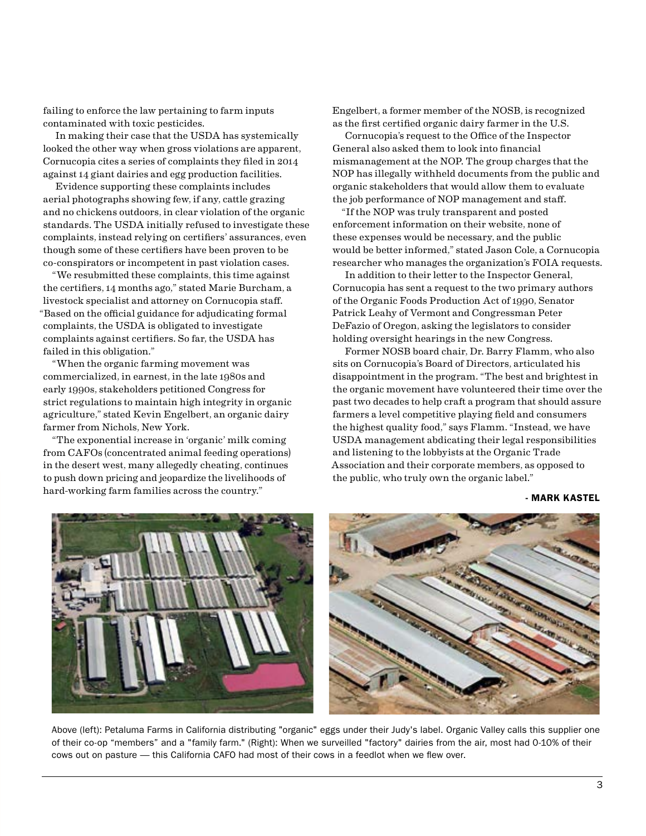<span id="page-2-0"></span>failing to enforce the law pertaining to farm inputs contaminated with toxic pesticides.

In making their case that the USDA has systemically looked the other way when gross violations are apparent, Cornucopia cites a series of complaints they filed in 2014 against 14 giant dairies and egg production facilities.

Evidence supporting these complaints includes aerial photographs showing few, if any, cattle grazing and no chickens outdoors, in clear violation of the organic standards. The USDA initially refused to investigate these complaints, instead relying on certifiers' assurances, even though some of these certifiers have been proven to be co-conspirators or incompetent in past violation cases.

"We resubmitted these complaints, this time against the certifiers, 14 months ago," stated Marie Burcham, a livestock specialist and attorney on Cornucopia staff. "Based on the official guidance for adjudicating formal complaints, the USDA is obligated to investigate complaints against certifiers. So far, the USDA has failed in this obligation."

"When the organic farming movement was commercialized, in earnest, in the late 1980s and early 1990s, stakeholders petitioned Congress for strict regulations to maintain high integrity in organic agriculture," stated Kevin Engelbert, an organic dairy farmer from Nichols, New York.

"The exponential increase in 'organic' milk coming from CAFOs (concentrated animal feeding operations) in the desert west, many allegedly cheating, continues to push down pricing and jeopardize the livelihoods of hard-working farm families across the country."

Engelbert, a former member of the NOSB, is recognized as the first certified organic dairy farmer in the U.S.

Cornucopia's request to the Office of the Inspector General also asked them to look into financial mismanagement at the NOP. The group charges that the NOP has illegally withheld documents from the public and organic stakeholders that would allow them to evaluate the job performance of NOP management and staff.

"If the NOP was truly transparent and posted enforcement information on their website, none of these expenses would be necessary, and the public would be better informed," stated Jason Cole, a Cornucopia researcher who manages the organization's FOIA requests.

In addition to their letter to the Inspector General, Cornucopia has sent a request to the two primary authors of the Organic Foods Production Act of 1990, Senator Patrick Leahy of Vermont and Congressman Peter DeFazio of Oregon, asking the legislators to consider holding oversight hearings in the new Congress.

Former NOSB board chair, Dr. Barry Flamm, who also sits on Cornucopia's Board of Directors, articulated his disappointment in the program. "The best and brightest in the organic movement have volunteered their time over the past two decades to help craft a program that should assure farmers a level competitive playing field and consumers the highest quality food," says Flamm. "Instead, we have USDA management abdicating their legal responsibilities and listening to the lobbyists at the Organic Trade Association and their corporate members, as opposed to the public, who truly own the organic label."

#### - MARK KASTEL



Above (left): Petaluma Farms in California distributing "organic" eggs under their Judy's label. Organic Valley calls this supplier one of their co-op "members" and a "family farm." (Right): When we surveilled "factory" dairies from the air, most had 0-10% of their cows out on pasture — this California CAFO had most of their cows in a feedlot when we flew over.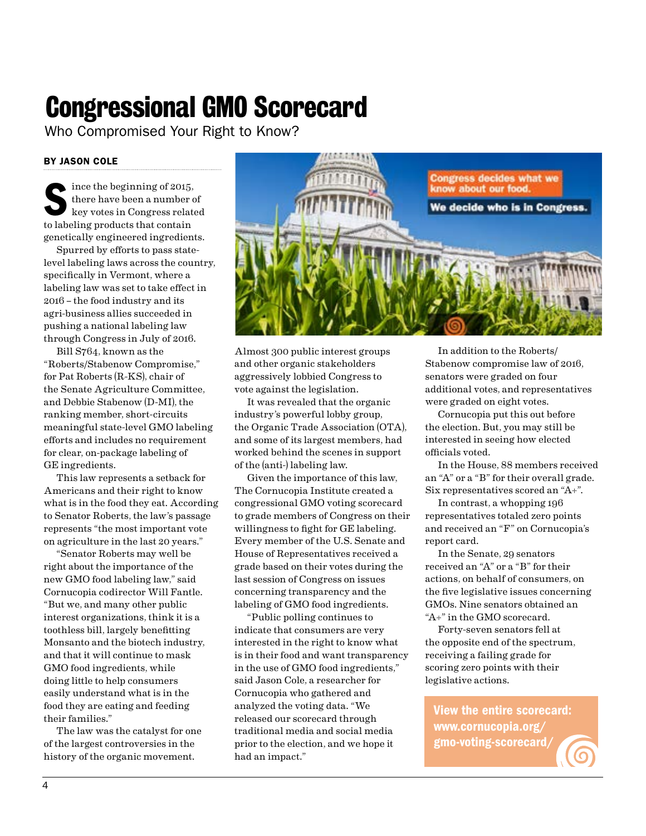## Congressional GMO Scorecard

Who Compromised Your Right to Know?

### BY JASON COLE

Since the beginning of 2015,<br>there have been a number of<br>key votes in Congress relate<br>to labeling products that contain there have been a number of key votes in Congress related to labeling products that contain genetically engineered ingredients.

Spurred by efforts to pass statelevel labeling laws across the country, specifically in Vermont, where a labeling law was set to take effect in 2016 – the food industry and its agri-business allies succeeded in pushing a national labeling law through Congress in July of 2016.

Bill S764, known as the "Roberts/Stabenow Compromise," for Pat Roberts (R-KS), chair of the Senate Agriculture Committee, and Debbie Stabenow (D-MI), the ranking member, short-circuits meaningful state-level GMO labeling efforts and includes no requirement for clear, on-package labeling of GE ingredients.

This law represents a setback for Americans and their right to know what is in the food they eat. According to Senator Roberts, the law's passage represents "the most important vote on agriculture in the last 20 years."

"Senator Roberts may well be right about the importance of the new GMO food labeling law," said Cornucopia codirector Will Fantle. "But we, and many other public interest organizations, think it is a toothless bill, largely benefitting Monsanto and the biotech industry, and that it will continue to mask GMO food ingredients, while doing little to help consumers easily understand what is in the food they are eating and feeding their families."

The law was the catalyst for one of the largest controversies in the history of the organic movement.



Almost 300 public interest groups and other organic stakeholders aggressively lobbied Congress to vote against the legislation.

It was revealed that the organic industry's powerful lobby group, the Organic Trade Association (OTA), and some of its largest members, had worked behind the scenes in support of the (anti-) labeling law.

Given the importance of this law, The Cornucopia Institute created a congressional GMO voting scorecard to grade members of Congress on their willingness to fight for GE labeling. Every member of the U.S. Senate and House of Representatives received a grade based on their votes during the last session of Congress on issues concerning transparency and the labeling of GMO food ingredients.

"Public polling continues to indicate that consumers are very interested in the right to know what is in their food and want transparency in the use of GMO food ingredients," said Jason Cole, a researcher for Cornucopia who gathered and analyzed the voting data. "We released our scorecard through traditional media and social media prior to the election, and we hope it had an impact."

In addition to the Roberts/ Stabenow compromise law of 2016, senators were graded on four additional votes, and representatives were graded on eight votes.

Cornucopia put this out before the election. But, you may still be interested in seeing how elected officials voted.

In the House, 88 members received an "A" or a "B" for their overall grade. Six representatives scored an "A+".

In contrast, a whopping 196 representatives totaled zero points and received an "F" on Cornucopia's report card.

In the Senate, 29 senators received an "A" or a "B" for their actions, on behalf of consumers, on the five legislative issues concerning GMOs. Nine senators obtained an "A+" in the GMO scorecard.

Forty-seven senators fell at the opposite end of the spectrum, receiving a failing grade for scoring zero points with their legislative actions.

View the entire scorecard: www.cornucopia.org/ gmo-voting-scorecard/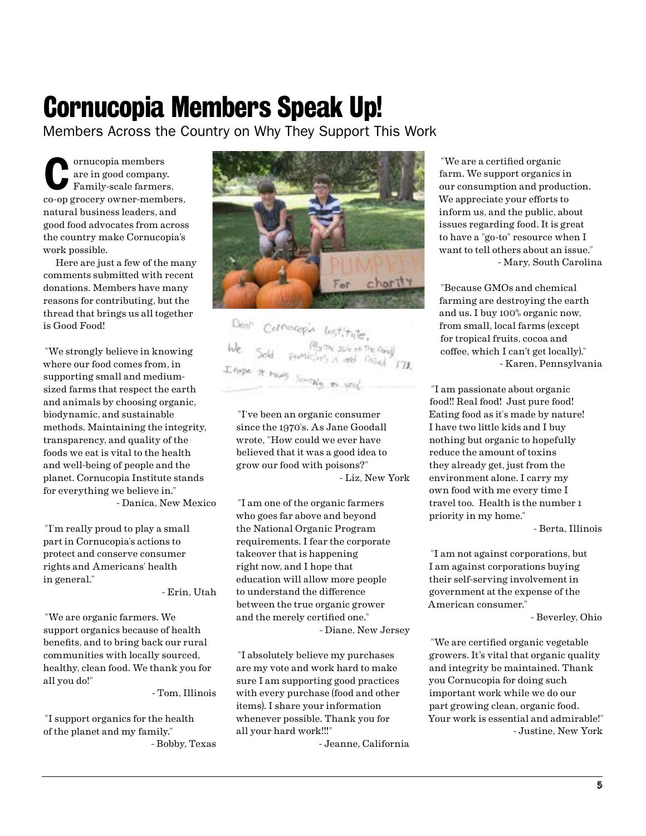### <span id="page-4-0"></span>Cornucopia Members Speak Up!

Members Across the Country on Why They Support This Work

Ornucopia members<br>
are in good company.<br>
Family-scale farmers, are in good company. co-op grocery owner-members, natural business leaders, and good food advocates from across the country make Cornucopia's work possible.

Here are just a few of the many comments submitted with recent donations. Members have many reasons for contributing, but the thread that brings us all together is Good Food!

"We strongly believe in knowing where our food comes from, in supporting small and mediumsized farms that respect the earth and animals by choosing organic, biodynamic, and sustainable methods. Maintaining the integrity, transparency, and quality of the foods we eat is vital to the health and well-being of people and the planet. Cornucopia Institute stands for everything we believe in." - Danica, New Mexico

"I'm really proud to play a small part in Cornucopia's actions to protect and conserve consumer rights and Americans' health in general."

- Erin, Utah

"We are organic farmers. We support organics because of health benefits, and to bring back our rural communities with locally sourced, healthy, clean food. We thank you for all you do!"

- Tom, Illinois

"I support organics for the health of the planet and my family." - Bobby, Texas



Compagnia lost  $\begin{array}{l} (\mathfrak{E}_{3}\oplus_{\mathfrak{C}}\mathfrak{z}_{\mathfrak{z}})_{\mathfrak{c}}\circ \mathfrak{z}_{\mathfrak{z}}\circ \mathfrak{z}_{\mathfrak{z}}\circ \mathfrak{z}_{\mathfrak{z}}\circ \mathfrak{z}_{\mathfrak{z}})\\ \varphi\circ \mathfrak{z}_{\mathfrak{z}}\circ \mathfrak{z}_{\mathfrak{z}}\circ \mathfrak{z}_{\mathfrak{z}}\circ \mathfrak{z}_{\mathfrak{z}}\circ \mathfrak{z}_{\mathfrak{z}}\circ \mathfrak{z}_{\mathfrak{z}}\circ \mathfrak$ 

"I've been an organic consumer since the 1970's. As Jane Goodall wrote, "How could we ever have believed that it was a good idea to grow our food with poisons?" - Liz, New York

"I am one of the organic farmers who goes far above and beyond the National Organic Program requirements. I fear the corporate takeover that is happening right now, and I hope that education will allow more people to understand the difference between the true organic grower and the merely certified one." - Diane, New Jersey

"I absolutely believe my purchases are my vote and work hard to make sure I am supporting good practices with every purchase (food and other items). I share your information whenever possible. Thank you for all your hard work!!!"

- Jeanne, California

"We are a certified organic farm. We support organics in our consumption and production. We appreciate your efforts to inform us, and the public, about issues regarding food. It is great to have a "go-to" resource when I want to tell others about an issue." - Mary, South Carolina

"Because GMOs and chemical farming are destroying the earth and us. I buy 100% organic now, from small, local farms (except for tropical fruits, cocoa and coffee, which I can't get locally)." - Karen, Pennsylvania

"I am passionate about organic food!! Real food! Just pure food! Eating food as it's made by nature! I have two little kids and I buy nothing but organic to hopefully reduce the amount of toxins they already get, just from the environment alone. I carry my own food with me every time I travel too. Health is the number 1 priority in my home."

- Berta, Illinois

"I am not against corporations, but I am against corporations buying their self-serving involvement in government at the expense of the American consumer."

- Beverley, Ohio

"We are certified organic vegetable growers. It's vital that organic quality and integrity be maintained. Thank you Cornucopia for doing such important work while we do our part growing clean, organic food. Your work is essential and admirable!" - Justine, New York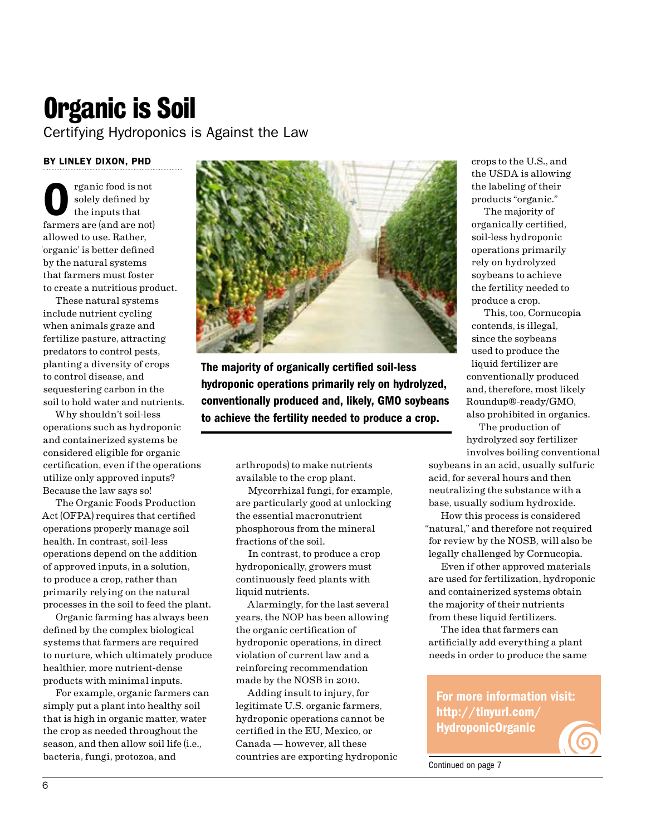### Organic is Soil

Certifying Hydroponics is Against the Law

### BY LINLEY DIXON, PHD

rganic food is not solely defined by the inputs that farmers are (and are not) allowed to use. Rather, 'organic' is better defined by the natural systems that farmers must foster to create a nutritious product.

These natural systems include nutrient cycling when animals graze and fertilize pasture, attracting predators to control pests, planting a diversity of crops to control disease, and sequestering carbon in the soil to hold water and nutrients.

Why shouldn't soil-less operations such as hydroponic and containerized systems be considered eligible for organic certification, even if the operations utilize only approved inputs? Because the law says so!

The Organic Foods Production Act (OFPA) requires that certified operations properly manage soil health. In contrast, soil-less operations depend on the addition of approved inputs, in a solution, to produce a crop, rather than primarily relying on the natural processes in the soil to feed the plant.

Organic farming has always been defined by the complex biological systems that farmers are required to nurture, which ultimately produce healthier, more nutrient-dense products with minimal inputs.

For example, organic farmers can simply put a plant into healthy soil that is high in organic matter, water the crop as needed throughout the season, and then allow soil life (i.e., bacteria, fungi, protozoa, and



The majority of organically certified soil-less hydroponic operations primarily rely on hydrolyzed, conventionally produced and, likely, GMO soybeans to achieve the fertility needed to produce a crop.

> arthropods) to make nutrients available to the crop plant.

Mycorrhizal fungi, for example, are particularly good at unlocking the essential macronutrient phosphorous from the mineral fractions of the soil.

In contrast, to produce a crop hydroponically, growers must continuously feed plants with liquid nutrients.

Alarmingly, for the last several years, the NOP has been allowing the organic certification of hydroponic operations, in direct violation of current law and a reinforcing recommendation made by the NOSB in 2010.

Adding insult to injury, for legitimate U.S. organic farmers, hydroponic operations cannot be certified in the EU, Mexico, or Canada — however, all these countries are exporting hydroponic crops to the U.S., and the USDA is allowing the labeling of their products "organic."

The majority of organically certified, soil-less hydroponic operations primarily rely on hydrolyzed soybeans to achieve the fertility needed to produce a crop.

This, too, Cornucopia contends, is illegal, since the soybeans used to produce the liquid fertilizer are conventionally produced and, therefore, most likely Roundup®-ready/GMO, also prohibited in organics.

The production of hydrolyzed soy fertilizer involves boiling conventional

soybeans in an acid, usually sulfuric acid, for several hours and then neutralizing the substance with a base, usually sodium hydroxide.

How this process is considered "natural," and therefore not required for review by the NOSB, will also be legally challenged by Cornucopia.

Even if other approved materials are used for fertilization, hydroponic and containerized systems obtain the majority of their nutrients from these liquid fertilizers.

The idea that farmers can artificially add everything a plant needs in order to produce the same

For more information visit: http://tinyurl.com/ HydroponicOrganic

Continued on page 7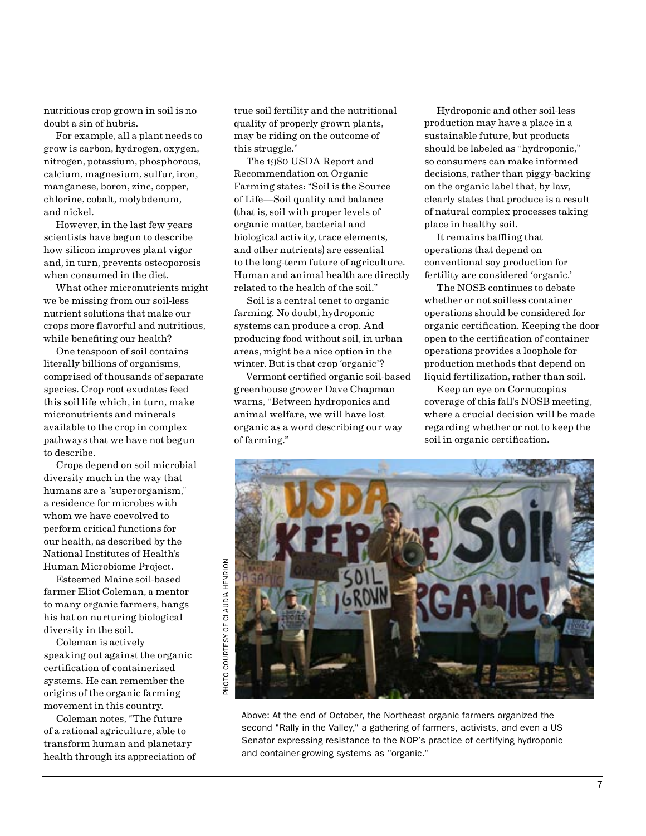nutritious crop grown in soil is no doubt a sin of hubris.

For example, all a plant needs to grow is carbon, hydrogen, oxygen, nitrogen, potassium, phosphorous, calcium, magnesium, sulfur, iron, manganese, boron, zinc, copper, chlorine, cobalt, molybdenum, and nickel.

However, in the last few years scientists have begun to describe how silicon improves plant vigor and, in turn, prevents osteoporosis when consumed in the diet.

What other micronutrients might we be missing from our soil-less nutrient solutions that make our crops more flavorful and nutritious, while benefiting our health?

One teaspoon of soil contains literally billions of organisms, comprised of thousands of separate species. Crop root exudates feed this soil life which, in turn, make micronutrients and minerals available to the crop in complex pathways that we have not begun to describe.

Crops depend on soil microbial diversity much in the way that humans are a "superorganism," a residence for microbes with whom we have coevolved to perform critical functions for our health, as described by the National Institutes of Health's Human Microbiome Project.

Esteemed Maine soil-based farmer Eliot Coleman, a mentor to many organic farmers, hangs his hat on nurturing biological diversity in the soil.

Coleman is actively speaking out against the organic certification of containerized systems. He can remember the origins of the organic farming movement in this country.

Coleman notes, "The future of a rational agriculture, able to transform human and planetary health through its appreciation of

true soil fertility and the nutritional quality of properly grown plants, may be riding on the outcome of this struggle."

The 1980 USDA Report and Recommendation on Organic Farming states: "Soil is the Source of Life—Soil quality and balance (that is, soil with proper levels of organic matter, bacterial and biological activity, trace elements, and other nutrients) are essential to the long-term future of agriculture. Human and animal health are directly related to the health of the soil."

Soil is a central tenet to organic farming. No doubt, hydroponic systems can produce a crop. And producing food without soil, in urban areas, might be a nice option in the winter. But is that crop 'organic'?

Vermont certified organic soil-based greenhouse grower Dave Chapman warns, "Between hydroponics and animal welfare, we will have lost organic as a word describing our way of farming."

Hydroponic and other soil-less production may have a place in a sustainable future, but products should be labeled as "hydroponic," so consumers can make informed decisions, rather than piggy-backing on the organic label that, by law, clearly states that produce is a result of natural complex processes taking place in healthy soil.

It remains baffling that operations that depend on conventional soy production for fertility are considered 'organic.'

The NOSB continues to debate whether or not soilless container operations should be considered for organic certification. Keeping the door open to the certification of container operations provides a loophole for production methods that depend on liquid fertilization, rather than soil.

Keep an eye on Cornucopia's coverage of this fall's NOSB meeting, where a crucial decision will be made regarding whether or not to keep the soil in organic certification.



Above: At the end of October, the Northeast organic farmers organized the second "Rally in the Valley," a gathering of farmers, activists, and even a US Senator expressing resistance to the NOP's practice of certifying hydroponic and container-growing systems as "organic."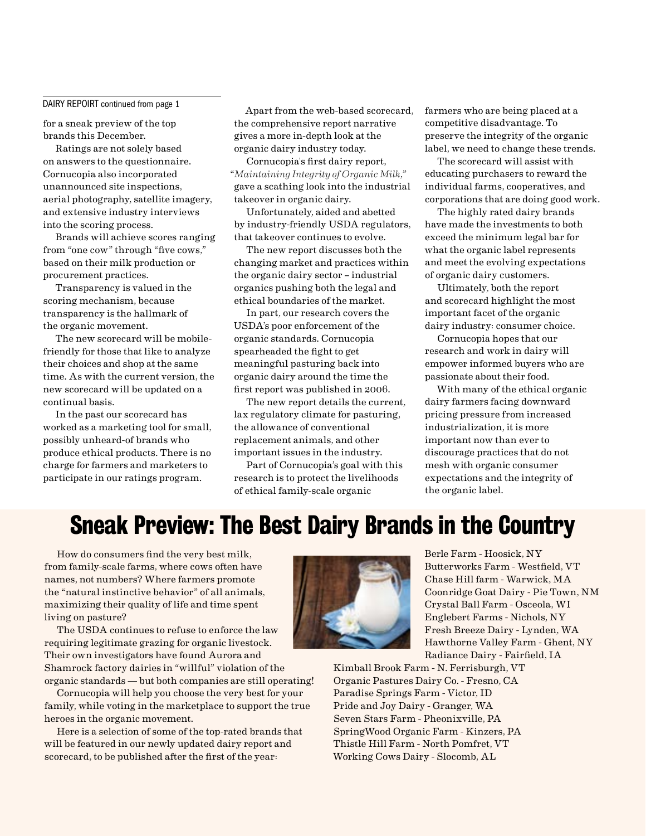#### DAIRY REPOIRT continued from page 1

for a sneak preview of the top brands this December.

Ratings are not solely based on answers to the questionnaire. Cornucopia also incorporated unannounced site inspections, aerial photography, satellite imagery, and extensive industry interviews into the scoring process.

Brands will achieve scores ranging from "one cow" through "five cows," based on their milk production or procurement practices.

Transparency is valued in the scoring mechanism, because transparency is the hallmark of the organic movement.

The new scorecard will be mobilefriendly for those that like to analyze their choices and shop at the same time. As with the current version, the new scorecard will be updated on a continual basis.

In the past our scorecard has worked as a marketing tool for small, possibly unheard-of brands who produce ethical products. There is no charge for farmers and marketers to participate in our ratings program.

Apart from the web-based scorecard, the comprehensive report narrative gives a more in-depth look at the organic dairy industry today.

Cornucopia's first dairy report, "*Maintaining Integrity of Organic Milk*," gave a scathing look into the industrial takeover in organic dairy.

Unfortunately, aided and abetted by industry-friendly USDA regulators, that takeover continues to evolve.

The new report discusses both the changing market and practices within the organic dairy sector – industrial organics pushing both the legal and ethical boundaries of the market.

In part, our research covers the USDA's poor enforcement of the organic standards. Cornucopia spearheaded the fight to get meaningful pasturing back into organic dairy around the time the first report was published in 2006.

The new report details the current, lax regulatory climate for pasturing, the allowance of conventional replacement animals, and other important issues in the industry.

Part of Cornucopia's goal with this research is to protect the livelihoods of ethical family-scale organic

farmers who are being placed at a competitive disadvantage. To preserve the integrity of the organic label, we need to change these trends.

The scorecard will assist with educating purchasers to reward the individual farms, cooperatives, and corporations that are doing good work.

The highly rated dairy brands have made the investments to both exceed the minimum legal bar for what the organic label represents and meet the evolving expectations of organic dairy customers.

Ultimately, both the report and scorecard highlight the most important facet of the organic dairy industry: consumer choice.

Cornucopia hopes that our research and work in dairy will empower informed buyers who are passionate about their food.

With many of the ethical organic dairy farmers facing downward pricing pressure from increased industrialization, it is more important now than ever to discourage practices that do not mesh with organic consumer expectations and the integrity of the organic label.

### Sneak Preview: The Best Dairy Brands in the Country

How do consumers find the very best milk, from family-scale farms, where cows often have names, not numbers? Where farmers promote the "natural instinctive behavior" of all animals, maximizing their quality of life and time spent living on pasture?

The USDA continues to refuse to enforce the law requiring legitimate grazing for organic livestock. Their own investigators have found Aurora and Shamrock factory dairies in "willful" violation of the organic standards — but both companies are still operating!

Cornucopia will help you choose the very best for your family, while voting in the marketplace to support the true heroes in the organic movement.

Here is a selection of some of the top-rated brands that will be featured in our newly updated dairy report and scorecard, to be published after the first of the year:



Berle Farm - Hoosick, NY Butterworks Farm - Westfield, VT Chase Hill farm - Warwick, MA Coonridge Goat Dairy - Pie Town, NM Crystal Ball Farm - Osceola, WI Englebert Farms - Nichols, NY Fresh Breeze Dairy - Lynden, WA Hawthorne Valley Farm - Ghent, NY Radiance Dairy - Fairfield, IA

Kimball Brook Farm - N. Ferrisburgh, VT Organic Pastures Dairy Co. - Fresno, CA Paradise Springs Farm - Victor, ID Pride and Joy Dairy - Granger, WA Seven Stars Farm - Pheonixville, PA SpringWood Organic Farm - Kinzers, PA Thistle Hill Farm - North Pomfret, VT Working Cows Dairy - Slocomb, AL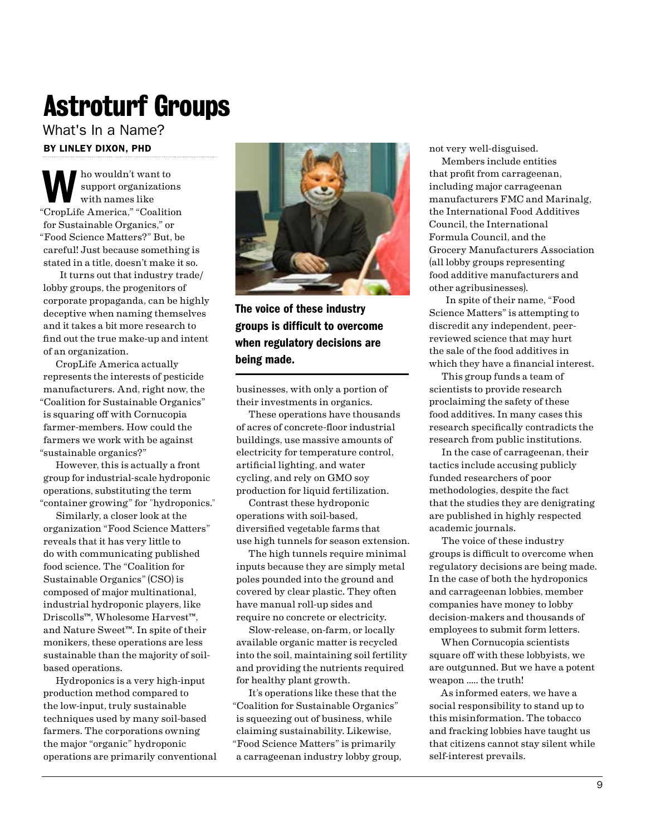## Astroturf Groups

BY LINLEY DIXON, PHD What's In a Name?

ho wouldn't want to support organizations with names like "CropLife America," "Coalition for Sustainable Organics," or "Food Science Matters?" But, be careful! Just because something is stated in a title, doesn't make it so.

It turns out that industry trade/ lobby groups, the progenitors of corporate propaganda, can be highly deceptive when naming themselves and it takes a bit more research to find out the true make-up and intent of an organization.

CropLife America actually represents the interests of pesticide manufacturers. And, right now, the "Coalition for Sustainable Organics" is squaring off with Cornucopia farmer-members. How could the farmers we work with be against "sustainable organics?"

However, this is actually a front group for industrial-scale hydroponic operations, substituting the term "container growing" for "hydroponics."

Similarly, a closer look at the organization "Food Science Matters" reveals that it has very little to do with communicating published food science. The "Coalition for Sustainable Organics" (CSO) is composed of major multinational, industrial hydroponic players, like Driscolls™, Wholesome Harvest™, and Nature Sweet™. In spite of their monikers, these operations are less sustainable than the majority of soilbased operations.

Hydroponics is a very high-input production method compared to the low-input, truly sustainable techniques used by many soil-based farmers. The corporations owning the major "organic" hydroponic operations are primarily conventional



### The voice of these industry groups is difficult to overcome when regulatory decisions are being made.

businesses, with only a portion of their investments in organics.

These operations have thousands of acres of concrete-floor industrial buildings, use massive amounts of electricity for temperature control, artificial lighting, and water cycling, and rely on GMO soy production for liquid fertilization.

Contrast these hydroponic operations with soil-based, diversified vegetable farms that use high tunnels for season extension.

The high tunnels require minimal inputs because they are simply metal poles pounded into the ground and covered by clear plastic. They often have manual roll-up sides and require no concrete or electricity.

Slow-release, on-farm, or locally available organic matter is recycled into the soil, maintaining soil fertility and providing the nutrients required for healthy plant growth.

It's operations like these that the "Coalition for Sustainable Organics" is squeezing out of business, while claiming sustainability. Likewise, "Food Science Matters" is primarily a carrageenan industry lobby group, not very well-disguised.

Members include entities that profit from carrageenan, including major carrageenan manufacturers FMC and Marinalg, the International Food Additives Council, the International Formula Council, and the Grocery Manufacturers Association (all lobby groups representing food additive manufacturers and other agribusinesses).

In spite of their name, "Food Science Matters" is attempting to discredit any independent, peerreviewed science that may hurt the sale of the food additives in which they have a financial interest.

This group funds a team of scientists to provide research proclaiming the safety of these food additives. In many cases this research specifically contradicts the research from public institutions.

In the case of carrageenan, their tactics include accusing publicly funded researchers of poor methodologies, despite the fact that the studies they are denigrating are published in highly respected academic journals.

The voice of these industry groups is difficult to overcome when regulatory decisions are being made. In the case of both the hydroponics and carrageenan lobbies, member companies have money to lobby decision-makers and thousands of employees to submit form letters.

When Cornucopia scientists square off with these lobbyists, we are outgunned. But we have a potent weapon ….. the truth!

As informed eaters, we have a social responsibility to stand up to this misinformation. The tobacco and fracking lobbies have taught us that citizens cannot stay silent while self-interest prevails.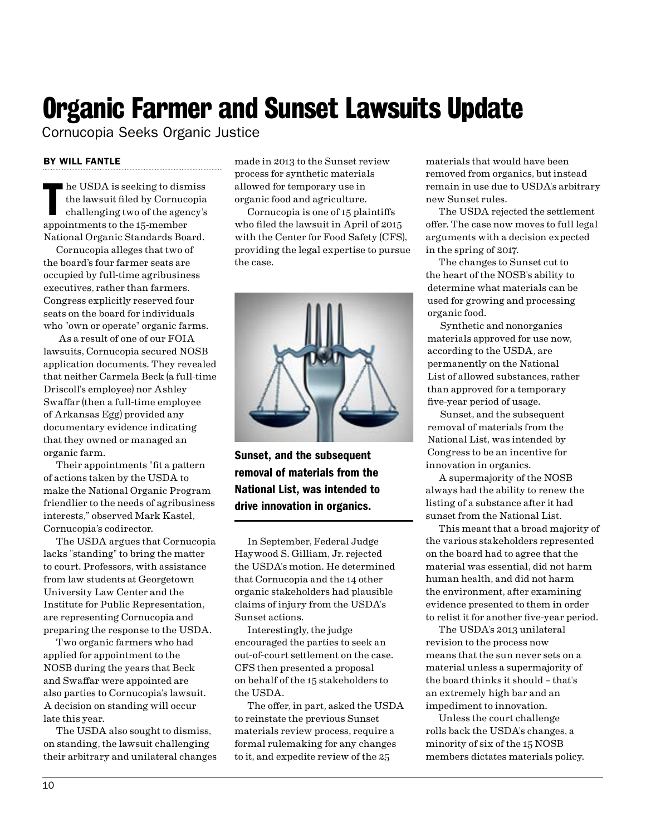### Organic Farmer and Sunset Lawsuits Update

Cornucopia Seeks Organic Justice

### BY WILL FANTLE

Internal as seeking to dism<br>the lawsuit filed by Cornuce<br>challenging two of the agen<br>appointments to the 15-member he USDA is seeking to dismiss the lawsuit filed by Cornucopia challenging two of the agency's National Organic Standards Board.

Cornucopia alleges that two of the board's four farmer seats are occupied by full-time agribusiness executives, rather than farmers. Congress explicitly reserved four seats on the board for individuals who "own or operate" organic farms.

 As a result of one of our FOIA lawsuits, Cornucopia secured NOSB application documents. They revealed that neither Carmela Beck (a full-time Driscoll's employee) nor Ashley Swaffar (then a full-time employee of Arkansas Egg) provided any documentary evidence indicating that they owned or managed an organic farm.

Their appointments "fit a pattern of actions taken by the USDA to make the National Organic Program friendlier to the needs of agribusiness interests," observed Mark Kastel, Cornucopia's codirector.

The USDA argues that Cornucopia lacks "standing" to bring the matter to court. Professors, with assistance from law students at Georgetown University Law Center and the Institute for Public Representation, are representing Cornucopia and preparing the response to the USDA.

Two organic farmers who had applied for appointment to the NOSB during the years that Beck and Swaffar were appointed are also parties to Cornucopia's lawsuit. A decision on standing will occur late this year.

The USDA also sought to dismiss, on standing, the lawsuit challenging their arbitrary and unilateral changes made in 2013 to the Sunset review process for synthetic materials allowed for temporary use in organic food and agriculture.

Cornucopia is one of 15 plaintiffs who filed the lawsuit in April of 2015 with the Center for Food Safety (CFS), providing the legal expertise to pursue the case.



Sunset, and the subsequent removal of materials from the National List, was intended to drive innovation in organics.

In September, Federal Judge Haywood S. Gilliam, Jr. rejected the USDA's motion. He determined that Cornucopia and the 14 other organic stakeholders had plausible claims of injury from the USDA's Sunset actions.

Interestingly, the judge encouraged the parties to seek an out-of-court settlement on the case. CFS then presented a proposal on behalf of the 15 stakeholders to the USDA.

The offer, in part, asked the USDA to reinstate the previous Sunset materials review process, require a formal rulemaking for any changes to it, and expedite review of the 25

materials that would have been removed from organics, but instead remain in use due to USDA's arbitrary new Sunset rules.

The USDA rejected the settlement offer. The case now moves to full legal arguments with a decision expected in the spring of 2017.

The changes to Sunset cut to the heart of the NOSB's ability to determine what materials can be used for growing and processing organic food.

Synthetic and nonorganics materials approved for use now, according to the USDA, are permanently on the National List of allowed substances, rather than approved for a temporary five-year period of usage.

Sunset, and the subsequent removal of materials from the National List, was intended by Congress to be an incentive for innovation in organics.

A supermajority of the NOSB always had the ability to renew the listing of a substance after it had sunset from the National List.

This meant that a broad majority of the various stakeholders represented on the board had to agree that the material was essential, did not harm human health, and did not harm the environment, after examining evidence presented to them in order to relist it for another five-year period.

The USDA's 2013 unilateral revision to the process now means that the sun never sets on a material unless a supermajority of the board thinks it should – that's an extremely high bar and an impediment to innovation.

Unless the court challenge rolls back the USDA's changes, a minority of six of the 15 NOSB members dictates materials policy.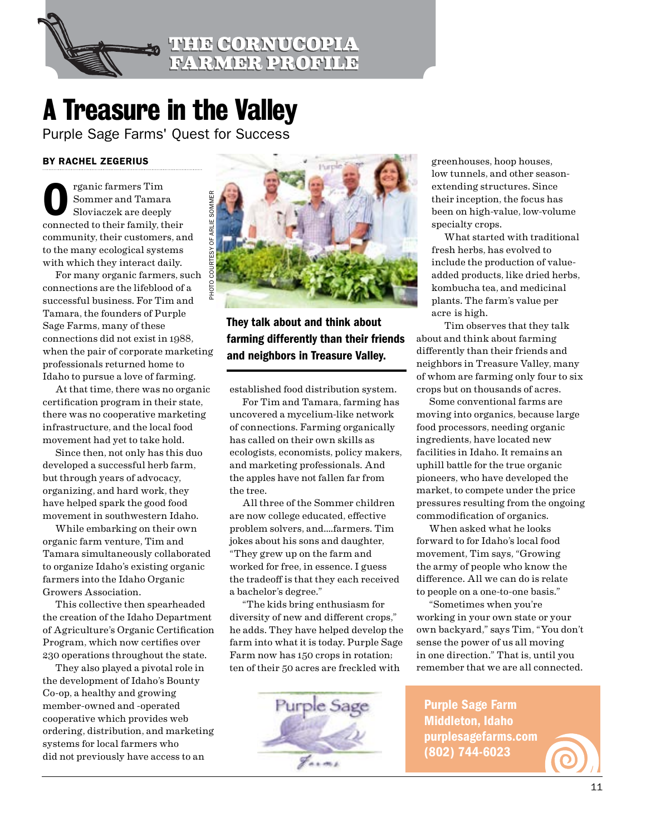

### <span id="page-10-0"></span>A Treasure in the Valley

Purple Sage Farms' Quest for Success

### BY RACHEL ZEGERIUS

rganic farmers Tim Sommer and Tamara Sloviaczek are deeply connected to their family, their community, their customers, and to the many ecological systems with which they interact daily.

For many organic farmers, such connections are the lifeblood of a successful business. For Tim and Tamara, the founders of Purple Sage Farms, many of these connections did not exist in 1988, when the pair of corporate marketing professionals returned home to Idaho to pursue a love of farming.

At that time, there was no organic certification program in their state, there was no cooperative marketing infrastructure, and the local food movement had yet to take hold.

Since then, not only has this duo developed a successful herb farm, but through years of advocacy, organizing, and hard work, they have helped spark the good food movement in southwestern Idaho.

While embarking on their own organic farm venture, Tim and Tamara simultaneously collaborated to organize Idaho's existing organic farmers into the Idaho Organic Growers Association.

This collective then spearheaded the creation of the Idaho Department of Agriculture's Organic Certification Program, which now certifies over 230 operations throughout the state.

They also played a pivotal role in the development of Idaho's Bounty Co-op, a healthy and growing member-owned and -operated cooperative which provides web ordering, distribution, and marketing systems for local farmers who did not previously have access to an



They talk about and think about farming differently than their friends and neighbors in Treasure Valley.

established food distribution system.

For Tim and Tamara, farming has uncovered a mycelium-like network of connections. Farming organically has called on their own skills as ecologists, economists, policy makers, and marketing professionals. And the apples have not fallen far from the tree.

All three of the Sommer children are now college educated, effective problem solvers, and.…farmers. Tim jokes about his sons and daughter, "They grew up on the farm and worked for free, in essence. I guess the tradeoff is that they each received a bachelor's degree."

"The kids bring enthusiasm for diversity of new and different crops," he adds. They have helped develop the farm into what it is today. Purple Sage Farm now has 150 crops in rotation; ten of their 50 acres are freckled with



greenhouses, hoop houses, low tunnels, and other seasonextending structures. Since their inception, the focus has been on high-value, low-volume specialty crops.

What started with traditional fresh herbs, has evolved to include the production of valueadded products, like dried herbs, kombucha tea, and medicinal plants. The farm's value per acre is high.

Tim observes that they talk about and think about farming differently than their friends and neighbors in Treasure Valley, many of whom are farming only four to six crops but on thousands of acres.

Some conventional farms are moving into organics, because large food processors, needing organic ingredients, have located new facilities in Idaho. It remains an uphill battle for the true organic pioneers, who have developed the market, to compete under the price pressures resulting from the ongoing commodification of organics.

When asked what he looks forward to for Idaho's local food movement, Tim says, "Growing the army of people who know the difference. All we can do is relate to people on a one-to-one basis."

"Sometimes when you're working in your own state or your own backyard," says Tim, "You don't sense the power of us all moving in one direction." That is, until you remember that we are all connected.

Purple Sage Farm Middleton, Idaho purplesagefarms.com (802) 744-6023